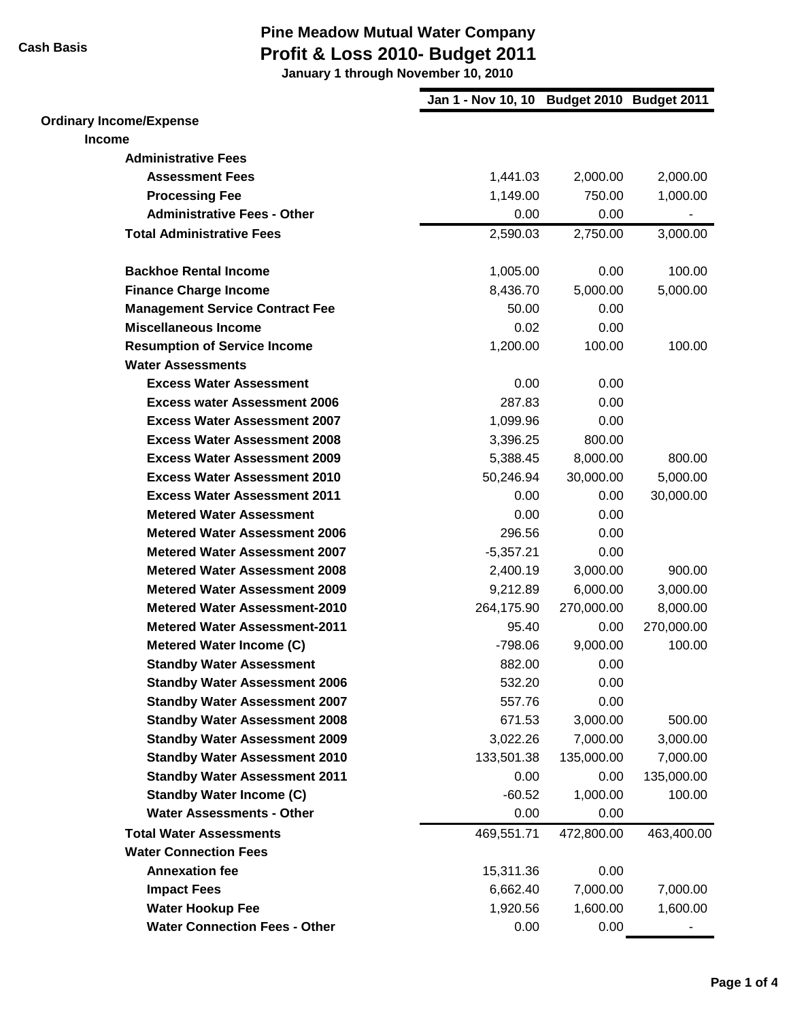**January 1 through November 10, 2010**

|                                        | Jan 1 - Nov 10, 10 Budget 2010 Budget 2011 |            |            |
|----------------------------------------|--------------------------------------------|------------|------------|
| <b>Ordinary Income/Expense</b>         |                                            |            |            |
| <b>Income</b>                          |                                            |            |            |
| <b>Administrative Fees</b>             |                                            |            |            |
| <b>Assessment Fees</b>                 | 1,441.03                                   | 2,000.00   | 2,000.00   |
| <b>Processing Fee</b>                  | 1,149.00                                   | 750.00     | 1,000.00   |
| <b>Administrative Fees - Other</b>     | 0.00                                       | 0.00       |            |
| <b>Total Administrative Fees</b>       | 2,590.03                                   | 2,750.00   | 3,000.00   |
| <b>Backhoe Rental Income</b>           | 1,005.00                                   | 0.00       | 100.00     |
| <b>Finance Charge Income</b>           | 8,436.70                                   | 5,000.00   | 5,000.00   |
| <b>Management Service Contract Fee</b> | 50.00                                      | 0.00       |            |
| <b>Miscellaneous Income</b>            | 0.02                                       | 0.00       |            |
| <b>Resumption of Service Income</b>    | 1,200.00                                   | 100.00     | 100.00     |
| <b>Water Assessments</b>               |                                            |            |            |
| <b>Excess Water Assessment</b>         | 0.00                                       | 0.00       |            |
| <b>Excess water Assessment 2006</b>    | 287.83                                     | 0.00       |            |
| <b>Excess Water Assessment 2007</b>    | 1,099.96                                   | 0.00       |            |
| <b>Excess Water Assessment 2008</b>    | 3,396.25                                   | 800.00     |            |
| <b>Excess Water Assessment 2009</b>    | 5,388.45                                   | 8,000.00   | 800.00     |
| <b>Excess Water Assessment 2010</b>    | 50,246.94                                  | 30,000.00  | 5,000.00   |
| <b>Excess Water Assessment 2011</b>    | 0.00                                       | 0.00       | 30,000.00  |
| <b>Metered Water Assessment</b>        | 0.00                                       | 0.00       |            |
| <b>Metered Water Assessment 2006</b>   | 296.56                                     | 0.00       |            |
| <b>Metered Water Assessment 2007</b>   | $-5,357.21$                                | 0.00       |            |
| <b>Metered Water Assessment 2008</b>   | 2,400.19                                   | 3,000.00   | 900.00     |
| <b>Metered Water Assessment 2009</b>   | 9,212.89                                   | 6,000.00   | 3,000.00   |
| <b>Metered Water Assessment-2010</b>   | 264,175.90                                 | 270,000.00 | 8,000.00   |
| <b>Metered Water Assessment-2011</b>   | 95.40                                      | 0.00       | 270,000.00 |
| Metered Water Income (C)               | $-798.06$                                  | 9,000.00   | 100.00     |
| <b>Standby Water Assessment</b>        | 882.00                                     | 0.00       |            |
| <b>Standby Water Assessment 2006</b>   | 532.20                                     | 0.00       |            |
| <b>Standby Water Assessment 2007</b>   | 557.76                                     | 0.00       |            |
| <b>Standby Water Assessment 2008</b>   | 671.53                                     | 3,000.00   | 500.00     |
| <b>Standby Water Assessment 2009</b>   | 3,022.26                                   | 7,000.00   | 3,000.00   |
| <b>Standby Water Assessment 2010</b>   | 133,501.38                                 | 135,000.00 | 7,000.00   |
| <b>Standby Water Assessment 2011</b>   | 0.00                                       | 0.00       | 135,000.00 |
| <b>Standby Water Income (C)</b>        | $-60.52$                                   | 1,000.00   | 100.00     |
| <b>Water Assessments - Other</b>       | 0.00                                       | 0.00       |            |
| <b>Total Water Assessments</b>         | 469,551.71                                 | 472,800.00 | 463,400.00 |
| <b>Water Connection Fees</b>           |                                            |            |            |
| <b>Annexation fee</b>                  | 15,311.36                                  | 0.00       |            |
| <b>Impact Fees</b>                     | 6,662.40                                   | 7,000.00   | 7,000.00   |
| <b>Water Hookup Fee</b>                | 1,920.56                                   | 1,600.00   | 1,600.00   |
| <b>Water Connection Fees - Other</b>   | 0.00                                       | 0.00       |            |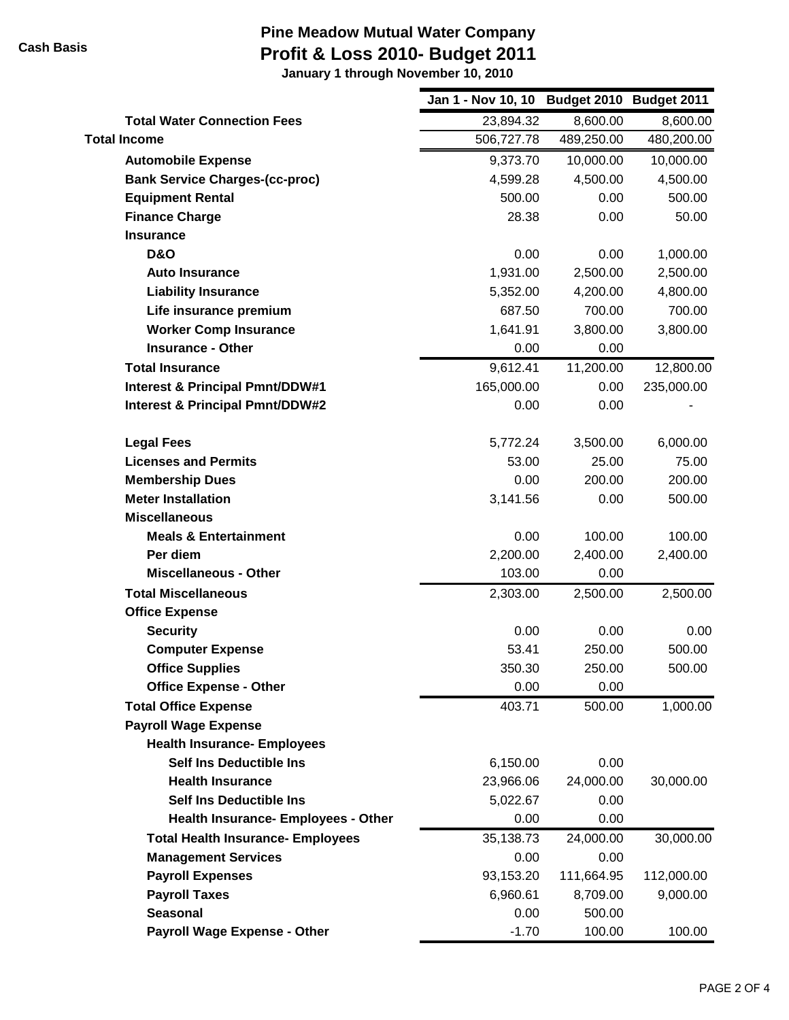**January 1 through November 10, 2010**

|                                            | Jan 1 - Nov 10, 10 | Budget 2010 Budget 2011 |            |
|--------------------------------------------|--------------------|-------------------------|------------|
| <b>Total Water Connection Fees</b>         | 23,894.32          | 8,600.00                | 8,600.00   |
| <b>Total Income</b>                        | 506,727.78         | 489,250.00              | 480,200.00 |
| <b>Automobile Expense</b>                  | 9,373.70           | 10,000.00               | 10,000.00  |
| <b>Bank Service Charges-(cc-proc)</b>      | 4,599.28           | 4,500.00                | 4,500.00   |
| <b>Equipment Rental</b>                    | 500.00             | 0.00                    | 500.00     |
| <b>Finance Charge</b>                      | 28.38              | 0.00                    | 50.00      |
| <b>Insurance</b>                           |                    |                         |            |
| <b>D&amp;O</b>                             | 0.00               | 0.00                    | 1,000.00   |
| <b>Auto Insurance</b>                      | 1,931.00           | 2,500.00                | 2,500.00   |
| <b>Liability Insurance</b>                 | 5,352.00           | 4,200.00                | 4,800.00   |
| Life insurance premium                     | 687.50             | 700.00                  | 700.00     |
| <b>Worker Comp Insurance</b>               | 1,641.91           | 3,800.00                | 3,800.00   |
| <b>Insurance - Other</b>                   | 0.00               | 0.00                    |            |
| <b>Total Insurance</b>                     | 9,612.41           | 11,200.00               | 12,800.00  |
| <b>Interest &amp; Principal Pmnt/DDW#1</b> | 165,000.00         | 0.00                    | 235,000.00 |
| <b>Interest &amp; Principal Pmnt/DDW#2</b> | 0.00               | 0.00                    |            |
| <b>Legal Fees</b>                          | 5,772.24           | 3,500.00                | 6,000.00   |
| <b>Licenses and Permits</b>                | 53.00              | 25.00                   | 75.00      |
| <b>Membership Dues</b>                     | 0.00               | 200.00                  | 200.00     |
| <b>Meter Installation</b>                  | 3,141.56           | 0.00                    | 500.00     |
| <b>Miscellaneous</b>                       |                    |                         |            |
| <b>Meals &amp; Entertainment</b>           | 0.00               | 100.00                  | 100.00     |
| Per diem                                   | 2,200.00           | 2,400.00                | 2,400.00   |
| <b>Miscellaneous - Other</b>               | 103.00             | 0.00                    |            |
| <b>Total Miscellaneous</b>                 | 2,303.00           | 2,500.00                | 2,500.00   |
| <b>Office Expense</b>                      |                    |                         |            |
| <b>Security</b>                            | 0.00               | 0.00                    | 0.00       |
| <b>Computer Expense</b>                    | 53.41              | 250.00                  | 500.00     |
| <b>Office Supplies</b>                     | 350.30             | 250.00                  | 500.00     |
| <b>Office Expense - Other</b>              | 0.00               | 0.00                    |            |
| <b>Total Office Expense</b>                | 403.71             | 500.00                  | 1,000.00   |
| <b>Payroll Wage Expense</b>                |                    |                         |            |
| <b>Health Insurance- Employees</b>         |                    |                         |            |
| <b>Self Ins Deductible Ins</b>             | 6,150.00           | 0.00                    |            |
| <b>Health Insurance</b>                    | 23,966.06          | 24,000.00               | 30,000.00  |
| <b>Self Ins Deductible Ins</b>             | 5,022.67           | 0.00                    |            |
| <b>Health Insurance- Employees - Other</b> | 0.00               | 0.00                    |            |
| <b>Total Health Insurance- Employees</b>   | 35,138.73          | 24,000.00               | 30,000.00  |
| <b>Management Services</b>                 | 0.00               | 0.00                    |            |
| <b>Payroll Expenses</b>                    | 93,153.20          | 111,664.95              | 112,000.00 |
| <b>Payroll Taxes</b>                       | 6,960.61           | 8,709.00                | 9,000.00   |
| <b>Seasonal</b>                            | 0.00               | 500.00                  |            |
| <b>Payroll Wage Expense - Other</b>        | $-1.70$            | 100.00                  | 100.00     |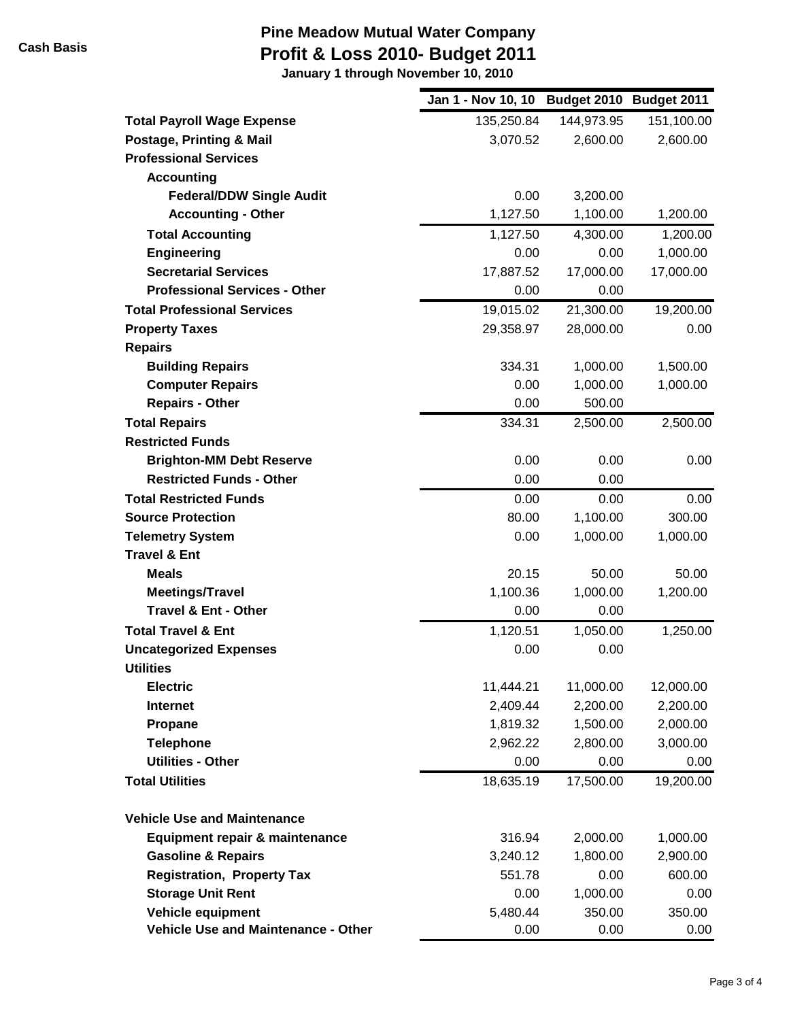**January 1 through November 10, 2010**

|                                      | Jan 1 - Nov 10, 10 Budget 2010 Budget 2011 |            |            |
|--------------------------------------|--------------------------------------------|------------|------------|
| <b>Total Payroll Wage Expense</b>    | 135,250.84                                 | 144,973.95 | 151,100.00 |
| Postage, Printing & Mail             | 3,070.52                                   | 2,600.00   | 2,600.00   |
| <b>Professional Services</b>         |                                            |            |            |
| <b>Accounting</b>                    |                                            |            |            |
| <b>Federal/DDW Single Audit</b>      | 0.00                                       | 3,200.00   |            |
| <b>Accounting - Other</b>            | 1,127.50                                   | 1,100.00   | 1,200.00   |
| <b>Total Accounting</b>              | 1,127.50                                   | 4,300.00   | 1,200.00   |
| <b>Engineering</b>                   | 0.00                                       | 0.00       | 1,000.00   |
| <b>Secretarial Services</b>          | 17,887.52                                  | 17,000.00  | 17,000.00  |
| <b>Professional Services - Other</b> | 0.00                                       | 0.00       |            |
| <b>Total Professional Services</b>   | 19,015.02                                  | 21,300.00  | 19,200.00  |
| <b>Property Taxes</b>                | 29,358.97                                  | 28,000.00  | 0.00       |
| <b>Repairs</b>                       |                                            |            |            |
| <b>Building Repairs</b>              | 334.31                                     | 1,000.00   | 1,500.00   |
| <b>Computer Repairs</b>              | 0.00                                       | 1,000.00   | 1,000.00   |
| <b>Repairs - Other</b>               | 0.00                                       | 500.00     |            |
| <b>Total Repairs</b>                 | 334.31                                     | 2,500.00   | 2,500.00   |
| <b>Restricted Funds</b>              |                                            |            |            |
| <b>Brighton-MM Debt Reserve</b>      | 0.00                                       | 0.00       | 0.00       |
| <b>Restricted Funds - Other</b>      | 0.00                                       | 0.00       |            |
| <b>Total Restricted Funds</b>        | 0.00                                       | 0.00       | 0.00       |
| <b>Source Protection</b>             | 80.00                                      | 1,100.00   | 300.00     |
| <b>Telemetry System</b>              | 0.00                                       | 1,000.00   | 1,000.00   |
| <b>Travel &amp; Ent</b>              |                                            |            |            |
| <b>Meals</b>                         | 20.15                                      | 50.00      | 50.00      |
| <b>Meetings/Travel</b>               | 1,100.36                                   | 1,000.00   | 1,200.00   |
| <b>Travel &amp; Ent - Other</b>      | 0.00                                       | 0.00       |            |
| <b>Total Travel &amp; Ent</b>        | 1,120.51                                   | 1,050.00   | 1,250.00   |
| <b>Uncategorized Expenses</b>        | 0.00                                       | 0.00       |            |
| <b>Utilities</b>                     |                                            |            |            |
| <b>Electric</b>                      | 11,444.21                                  | 11,000.00  | 12,000.00  |
| <b>Internet</b>                      | 2,409.44                                   | 2,200.00   | 2,200.00   |
| Propane                              | 1,819.32                                   | 1,500.00   | 2,000.00   |
| <b>Telephone</b>                     | 2,962.22                                   | 2,800.00   | 3,000.00   |
| <b>Utilities - Other</b>             | 0.00                                       | 0.00       | 0.00       |
| <b>Total Utilities</b>               | 18,635.19                                  | 17,500.00  | 19,200.00  |
| <b>Vehicle Use and Maintenance</b>   |                                            |            |            |
| Equipment repair & maintenance       | 316.94                                     | 2,000.00   | 1,000.00   |
| <b>Gasoline &amp; Repairs</b>        | 3,240.12                                   | 1,800.00   | 2,900.00   |
| <b>Registration, Property Tax</b>    | 551.78                                     | 0.00       | 600.00     |
| <b>Storage Unit Rent</b>             | 0.00                                       | 1,000.00   | 0.00       |
| Vehicle equipment                    | 5,480.44                                   | 350.00     | 350.00     |
| Vehicle Use and Maintenance - Other  | 0.00                                       | 0.00       | 0.00       |